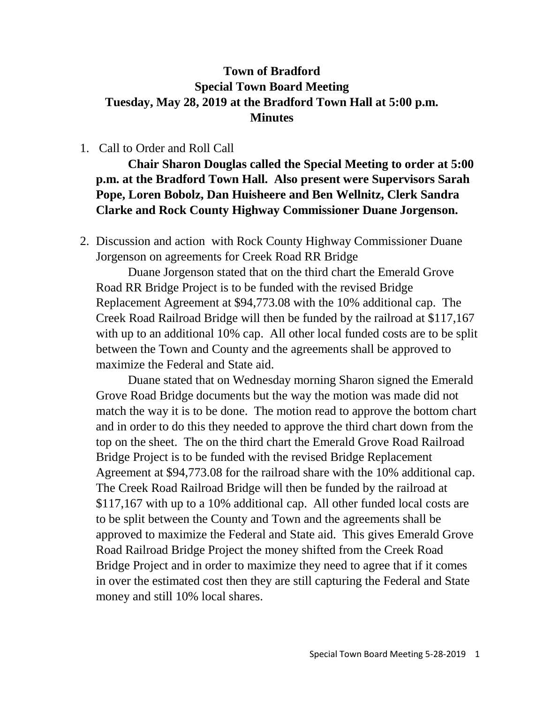## **Town of Bradford Special Town Board Meeting Tuesday, May 28, 2019 at the Bradford Town Hall at 5:00 p.m. Minutes**

## 1. Call to Order and Roll Call

**Chair Sharon Douglas called the Special Meeting to order at 5:00 p.m. at the Bradford Town Hall. Also present were Supervisors Sarah Pope, Loren Bobolz, Dan Huisheere and Ben Wellnitz, Clerk Sandra Clarke and Rock County Highway Commissioner Duane Jorgenson.**

2. Discussion and action with Rock County Highway Commissioner Duane Jorgenson on agreements for Creek Road RR Bridge

Duane Jorgenson stated that on the third chart the Emerald Grove Road RR Bridge Project is to be funded with the revised Bridge Replacement Agreement at \$94,773.08 with the 10% additional cap. The Creek Road Railroad Bridge will then be funded by the railroad at \$117,167 with up to an additional 10% cap. All other local funded costs are to be split between the Town and County and the agreements shall be approved to maximize the Federal and State aid.

Duane stated that on Wednesday morning Sharon signed the Emerald Grove Road Bridge documents but the way the motion was made did not match the way it is to be done. The motion read to approve the bottom chart and in order to do this they needed to approve the third chart down from the top on the sheet. The on the third chart the Emerald Grove Road Railroad Bridge Project is to be funded with the revised Bridge Replacement Agreement at \$94,773.08 for the railroad share with the 10% additional cap. The Creek Road Railroad Bridge will then be funded by the railroad at \$117,167 with up to a 10% additional cap. All other funded local costs are to be split between the County and Town and the agreements shall be approved to maximize the Federal and State aid. This gives Emerald Grove Road Railroad Bridge Project the money shifted from the Creek Road Bridge Project and in order to maximize they need to agree that if it comes in over the estimated cost then they are still capturing the Federal and State money and still 10% local shares.